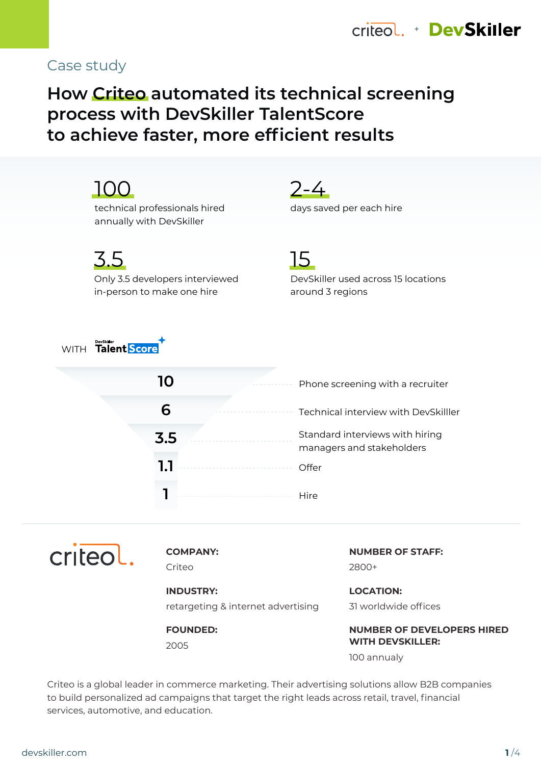

## Case study

# **How Criteo automated its technical screening process with DevSkiller TalentScore to achieve faster, more efficient results**

|             | technical professionals hired<br>annually with DevSkiller            | $2 - 4$<br>days saved per each hire                           |
|-------------|----------------------------------------------------------------------|---------------------------------------------------------------|
|             | 3.5<br>Only 3.5 developers interviewed<br>in-person to make one hire | 15<br>DevSkiller used across 15 locations<br>around 3 regions |
| <b>WITH</b> | <b>PeySkiller</b><br>Talent Score                                    |                                                               |
|             | 10                                                                   | Phone screening with a recruiter                              |
|             |                                                                      | Technical interview with DevSkilller                          |

Standard interviews with hiring managers and stakeholders **Offer Hire 3.5 1.1 1**



**COMPANY:**

Criteo

**INDUSTRY:** retargeting & internet advertising

**FOUNDED:**

2005

**NUMBER OF STAFF:** 2800+

**LOCATION:** 31 worldwide offices

**NUMBER OF DEVELOPERS HIRED WITH DEVSKILLER:** 100 annualy

Criteo is a global leader in commerce marketing. Their advertising solutions allow B2B companies to build personalized ad campaigns that target the right leads across retail, travel, financial services, automotive, and education.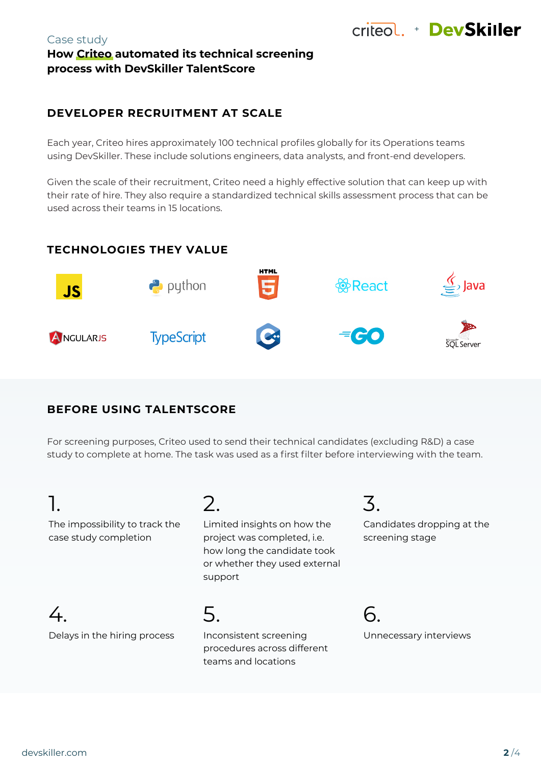#### Case study **How Criteo automated its technical screening process with DevSkiller TalentScore**

## **DEVELOPER RECRUITMENT AT SCALE**

Each year, Criteo hires approximately 100 technical profiles globally for its Operations teams using DevSkiller. These include solutions engineers, data analysts, and front-end developers.

Given the scale of their recruitment, Criteo need a highly effective solution that can keep up with their rate of hire. They also require a standardized technical skills assessment process that can be used across their teams in 15 locations.

## **TECHNOLOGIES THEY VALUE**



## **BEFORE USING TALENTSCORE**

For screening purposes, Criteo used to send their technical candidates (excluding R&D) a case study to complete at home. The task was used as a first filter before interviewing with the team.

# 1.

The impossibility to track the case study completion

# 2.

Limited insights on how the project was completed, i.e. how long the candidate took or whether they used external support

 $4.$ Delays in the hiring process 5.

Inconsistent screening procedures across different teams and locations

3.

Candidates dropping at the screening stage

+ DevSkiller

6. Unnecessary interviews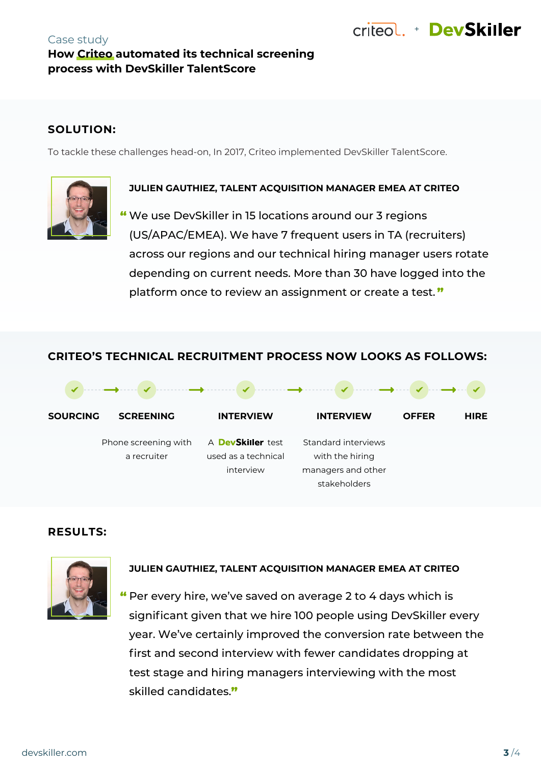#### Case study **How Criteo automated its technical screening process with DevSkiller TalentScore**

## **SOLUTION:**

To tackle these challenges head-on, In 2017, Criteo implemented DevSkiller TalentScore.



#### **JULIEN GAUTHIEZ, TALENT ACQUISITION MANAGER EMEA AT CRITEO**

We use DevSkiller in 15 locations around our 3 regions " (US/APAC/EMEA). We have 7 frequent users in TA (recruiters) across our regions and our technical hiring manager users rotate depending on current needs. More than 30 have logged into the platform once to review an assignment or create a test."

## **CRITEO'S TECHNICAL RECRUITMENT PROCESS NOW LOOKS AS FOLLOWS:**



## **RESULTS:**



#### **JULIEN GAUTHIEZ, TALENT ACQUISITION MANAGER EMEA AT CRITEO**

Per every hire, we've saved on average 2 to 4 days which is " significant given that we hire 100 people using DevSkiller every year. We've certainly improved the conversion rate between the first and second interview with fewer candidates dropping at test stage and hiring managers interviewing with the most skilled candidates."

+ DevSkiller